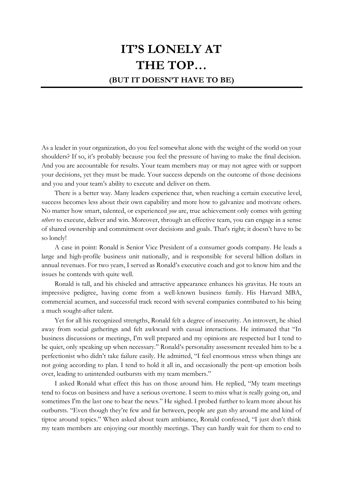## **IT'S LONELY AT THE TOP…**

## **(BUT IT DOESN'T HAVE TO BE)**

As a leader in your organization, do you feel somewhat alone with the weight of the world on your shoulders? If so, it's probably because you feel the pressure of having to make the final decision. And you are accountable for results. Your team members may or may not agree with or support your decisions, yet they must be made. Your success depends on the outcome of those decisions and you and your team's ability to execute and deliver on them.

There is a better way. Many leaders experience that, when reaching a certain executive level, success becomes less about their own capability and more how to galvanize and motivate others. No matter how smart, talented, or experienced *you* are, true achievement only comes with getting *others* to execute, deliver and win. Moreover, through an effective team, you can engage in a sense of shared ownership and commitment over decisions and goals. That's right; it doesn't have to be so lonely!

A case in point: Ronald is Senior Vice President of a consumer goods company. He leads a large and high-profile business unit nationally, and is responsible for several billion dollars in annual revenues. For two years, I served as Ronald's executive coach and got to know him and the issues he contends with quite well.

Ronald is tall, and his chiseled and attractive appearance enhances his gravitas. He touts an impressive pedigree, having come from a well-known business family. His Harvard MBA, commercial acumen, and successful track record with several companies contributed to his being a much sought-after talent.

Yet for all his recognized strengths, Ronald felt a degree of insecurity. An introvert, he shied away from social gatherings and felt awkward with casual interactions. He intimated that "In business discussions or meetings, I'm well prepared and my opinions are respected but I tend to be quiet, only speaking up when necessary." Ronald's personality assessment revealed him to be a perfectionist who didn't take failure easily. He admitted, "I feel enormous stress when things are not going according to plan. I tend to hold it all in, and occasionally the pent-up emotion boils over, leading to unintended outbursts with my team members."

I asked Ronald what effect this has on those around him. He replied, "My team meetings tend to focus on business and have a serious overtone. I seem to miss what is really going on, and sometimes I'm the last one to hear the news." He sighed. I probed further to learn more about his outbursts. "Even though they're few and far between, people are gun shy around me and kind of tiptoe around topics." When asked about team ambiance, Ronald confessed, "I just don't think my team members are enjoying our monthly meetings. They can hardly wait for them to end to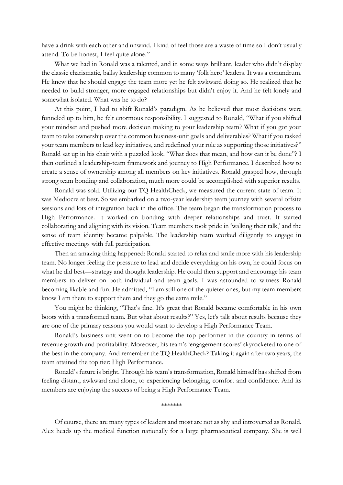have a drink with each other and unwind. I kind of feel those are a waste of time so I don't usually attend. To be honest, I feel quite alone."

What we had in Ronald was a talented, and in some ways brilliant, leader who didn't display the classic charismatic, ballsy leadership common to many 'folk hero' leaders. It was a conundrum. He knew that he should engage the team more yet he felt awkward doing so. He realized that he needed to build stronger, more engaged relationships but didn't enjoy it. And he felt lonely and somewhat isolated. What was he to do?

At this point, I had to shift Ronald's paradigm. As he believed that most decisions were funneled up to him, he felt enormous responsibility. I suggested to Ronald, "What if you shifted your mindset and pushed more decision making to your leadership team? What if you got your team to take ownership over the common business-unit goals and deliverables? What if you tasked your team members to lead key initiatives, and redefined your role as supporting those initiatives?" Ronald sat up in his chair with a puzzled look. "What does that mean, and how can it be done"? I then outlined a leadership-team framework and journey to High Performance. I described how to create a sense of ownership among all members on key initiatives. Ronald grasped how, through strong team bonding and collaboration, much more could be accomplished with superior results.

Ronald was sold. Utilizing our TQ HealthCheck, we measured the current state of team. It was Mediocre at best. So we embarked on a two-year leadership team journey with several offsite sessions and lots of integration back in the office. The team began the transformation process to High Performance. It worked on bonding with deeper relationships and trust. It started collaborating and aligning with its vision. Team members took pride in 'walking their talk,' and the sense of team identity became palpable. The leadership team worked diligently to engage in effective meetings with full participation.

Then an amazing thing happened: Ronald started to relax and smile more with his leadership team. No longer feeling the pressure to lead and decide everything on his own, he could focus on what he did best—strategy and thought leadership. He could then support and encourage his team members to deliver on both individual and team goals. I was astounded to witness Ronald becoming likable and fun. He admitted, "I am still one of the quieter ones, but my team members know I am there to support them and they go the extra mile."

You might be thinking, "That's fine. It's great that Ronald became comfortable in his own boots with a transformed team. But what about results?" Yes, let's talk about results because they are one of the primary reasons you would want to develop a High Performance Team.

Ronald's business unit went on to become the top performer in the country in terms of revenue growth and profitability. Moreover, his team's 'engagement scores' skyrocketed to one of the best in the company. And remember the TQ HealthCheck? Taking it again after two years, the team attained the top tier: High Performance.

Ronald's future is bright. Through his team's transformation, Ronald himself has shifted from feeling distant, awkward and alone, to experiencing belonging, comfort and confidence. And its members are enjoying the success of being a High Performance Team.

\*\*\*\*\*\*\*

Of course, there are many types of leaders and most are not as shy and introverted as Ronald. Alex heads up the medical function nationally for a large pharmaceutical company. She is well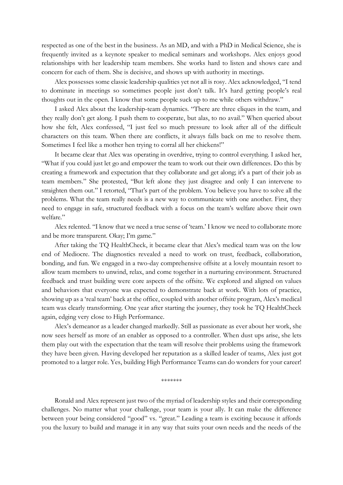respected as one of the best in the business. As an MD, and with a PhD in Medical Science, she is frequently invited as a keynote speaker to medical seminars and workshops. Alex enjoys good relationships with her leadership team members. She works hard to listen and shows care and concern for each of them. She is decisive, and shows up with authority in meetings.

Alex possesses some classic leadership qualities yet not all is rosy. Alex acknowledged, "I tend to dominate in meetings so sometimes people just don't talk. It's hard getting people's real thoughts out in the open. I know that some people suck up to me while others withdraw."

I asked Alex about the leadership-team dynamics. "There are three cliques in the team, and they really don't get along. I push them to cooperate, but alas, to no avail." When queried about how she felt, Alex confessed, "I just feel so much pressure to look after all of the difficult characters on this team. When there are conflicts, it always falls back on me to resolve them. Sometimes I feel like a mother hen trying to corral all her chickens!"

It became clear that Alex was operating in overdrive, trying to control everything. I asked her, "What if you could just let go and empower the team to work out their own differences. Do this by creating a framework and expectation that they collaborate and get along; it's a part of their job as team members." She protested, "But left alone they just disagree and only I can intervene to straighten them out." I retorted, "That's part of the problem. You believe you have to solve all the problems. What the team really needs is a new way to communicate with one another. First, they need to engage in safe, structured feedback with a focus on the team's welfare above their own welfare."

Alex relented. "I know that we need a true sense of 'team.' I know we need to collaborate more and be more transparent. Okay; I'm game."

After taking the TQ HealthCheck, it became clear that Alex's medical team was on the low end of Mediocre. The diagnostics revealed a need to work on trust, feedback, collaboration, bonding, and fun. We engaged in a two-day comprehensive offsite at a lovely mountain resort to allow team members to unwind, relax, and come together in a nurturing environment. Structured feedback and trust building were core aspects of the offsite. We explored and aligned on values and behaviors that everyone was expected to demonstrate back at work. With lots of practice, showing up as a 'real team' back at the office, coupled with another offsite program, Alex's medical team was clearly transforming. One year after starting the journey, they took he TQ HealthCheck again, edging very close to High Performance.

Alex's demeanor as a leader changed markedly. Still as passionate as ever about her work, she now sees herself as more of an enabler as opposed to a controller. When dust ups arise, she lets them play out with the expectation that the team will resolve their problems using the framework they have been given. Having developed her reputation as a skilled leader of teams, Alex just got promoted to a larger role. Yes, building High Performance Teams can do wonders for your career!

\*\*\*\*\*\*\*

Ronald and Alex represent just two of the myriad of leadership styles and their corresponding challenges. No matter what your challenge, your team is your ally. It can make the difference between your being considered "good" vs. "great." Leading a team is exciting because it affords you the luxury to build and manage it in any way that suits your own needs and the needs of the